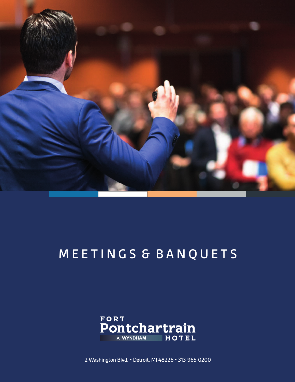

## M E E T I N G S & B A N Q U E T S



2 Washington Blvd. • Detroit, MI 48226 • 313-965-0200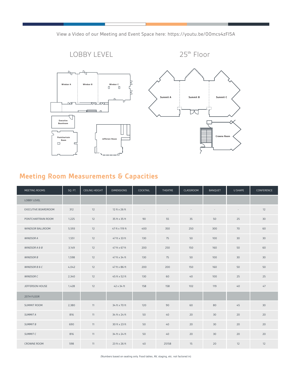

View a Video of our Meeting and Event Space here: https://youtu.be/00mcs4zFl5A

## **Meeting Room Measurements & Capacities**

| MEETING ROOMS       | SQ. FT. | CEILING HEIGHT | <b>DIMENSIONS</b> | COCKTAIL | THEATRE | CLASSROOM | BANQUET | U SHAPE         | CONFERENCE |
|---------------------|---------|----------------|-------------------|----------|---------|-----------|---------|-----------------|------------|
| <b>LOBBY LEVEL</b>  |         |                |                   |          |         |           |         |                 |            |
| EXECUTIVE BOARDROOM | 312     | 12             | 12 ft x 26 ft     | $\sim$   | $\sim$  | $\sim$    | $\sim$  | $\sim$          | 12         |
| PONTCHARTRAIN ROOM  | 1,225   | 12             | 35 ft x 35 ft     | 90       | 55      | 35        | 50      | 25              | 30         |
| WINDSOR BALLROOM    | 5,593   | 12             | 47 ft x 119 ft    | 400      | 350     | 250       | 300     | 70              | 60         |
| WINDSOR A           | 1,551   | 12             | 47 ft x 33 ft     | 130      | 75      | 50        | 100     | 30              | 30         |
| WINDSOR A & B       | 3,149   | 12             | 47 ft x 67 ft     | 200      | 250     | 150       | 160     | 50              | 60         |
| <b>WINDSOR B</b>    | 1,598   | 12             | 47 ft x 34 ft     | 130      | 75      | 50        | 100     | 30 <sup>°</sup> | 30         |
| WINDSOR B & C       | 4,042   | 12             | 47 ft x 86 ft     | 200      | 200     | 150       | 160     | 50              | 50         |
| WINDSOR C           | 2.340   | 12             | 45 ft x 52 ft     | 130      | 60      | 40        | 100     | 25              | 25         |
| JEFFERSON HOUSE     | 1,428   | 12             | 42 x 34 ft        | 158      | 158     | 102       | 119     | 40              | 47         |
| 25TH FLOOR          |         |                |                   |          |         |           |         |                 |            |
| SUMMIT ROOM         | 2.380   | 11             | 34 ft x 70 ft     | 120      | 90      | 60        | 80      | 45              | 30         |
| SUMMIT A            | 816     | 11             | 34 ft x 24 ft     | 50       | 40      | 20        | 30      | 20              | 20         |
| SUMMIT B            | 690     | 11             | 30 ft x 23 ft     | 50       | 40      | 20        | 30      | 20              | 20         |
| SUMMIT C            | 816     | 11             | 34 ft x 24 ft     | 50       | 40      | 20        | 30      | 20              | 20         |
| CROWNE ROOM         | 598     | 11             | 23 ft x 26 ft     | 40       | 25158   | 15        | 20      | 12              | 12         |

(Numbers based on seating only. Food tables, AV, staging, etc. not factored in)